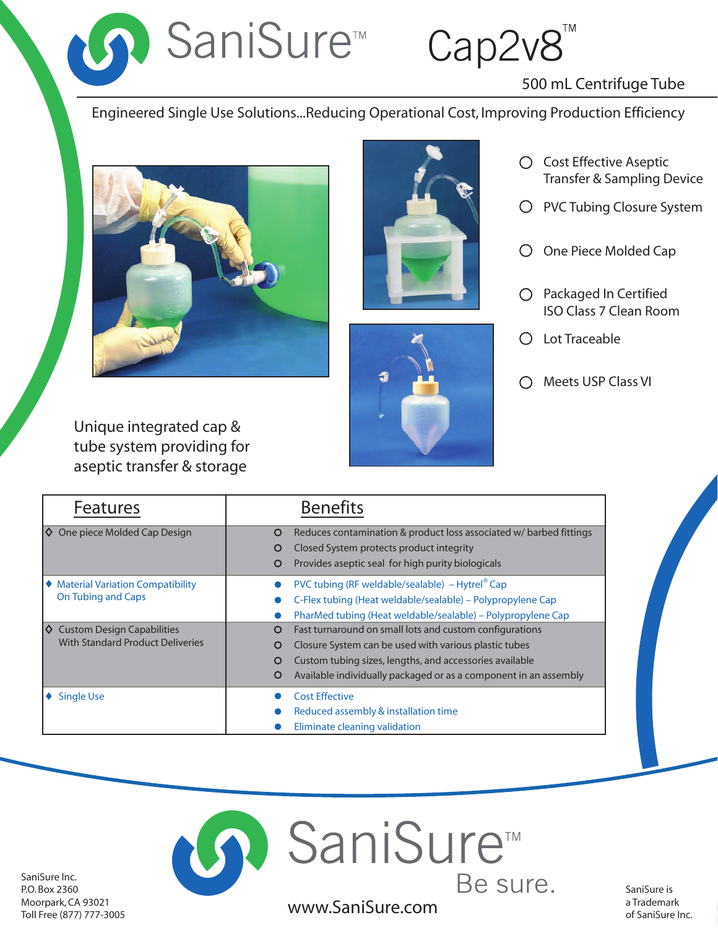■ SaniSure™ Cap2v8

# 500 mL Centrifuge Tube

Engineered Single Use Solutions...Reducing Operational Cost, Improving Production Efficiency







- Cost Effective Aseptic Transfer & Sampling Device
- O PVC Tubing Closure System
- O One Piece Molded Cap
- $O$  Packaged In Certified ISO Class 7 Clean Room
- Lot Traceable
- Meets USP Class VI

Unique integrated cap & tube system providing for aseptic transfer & storage

| <b>Features</b>                                                                     | <b>Benefits</b>                                                                                                                                                                                                                                                     |
|-------------------------------------------------------------------------------------|---------------------------------------------------------------------------------------------------------------------------------------------------------------------------------------------------------------------------------------------------------------------|
| $\Diamond$ One piece Molded Cap Design                                              | Reduces contamination & product loss associated w/ barbed fittings<br>O<br>Closed System protects product integrity<br>O<br>Provides aseptic seal for high purity biologicals<br>O                                                                                  |
| ♦ Material Variation Compatibility<br><b>On Tubing and Caps</b>                     | PVC tubing (RF weldable/sealable) – Hytrel <sup>®</sup> Cap<br>C-Flex tubing (Heat weldable/sealable) – Polypropylene Cap<br>PharMed tubing (Heat weldable/sealable) – Polypropylene Cap                                                                            |
| Ι♦.<br><b>Custom Design Capabilities</b><br><b>With Standard Product Deliveries</b> | Fast turnaround on small lots and custom configurations<br>O<br>Closure System can be used with various plastic tubes<br>O<br>Custom tubing sizes, lengths, and accessories available<br>O<br>Available individually packaged or as a component in an assembly<br>O |
| <b>Single Use</b>                                                                   | <b>Cost Effective</b><br>Reduced assembly & installation time<br>Eliminate cleaning validation                                                                                                                                                                      |



SaniSure Inc. P.O. Box 2360 Moorpark, CA 93021 Toll Free (877) 777-3005

SaniSure is